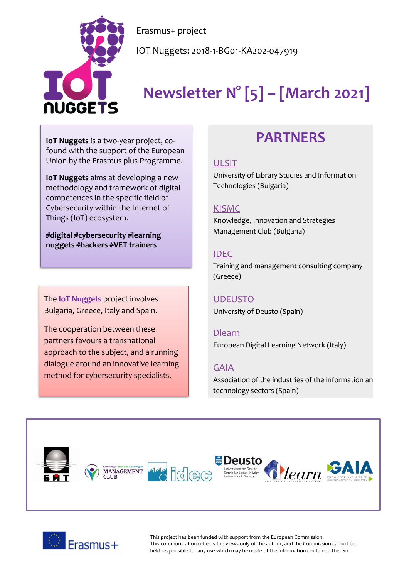

IOT Nuggets: 2018-1-BG01-KA202-047919

# **Newsletter N° [5] – [March 2021]**

**IoT Nuggets** is a two-year project, cofound with the support of the European Union by the Erasmus plus Programme.

NUGGETS

**IoT Nuggets** aims at developing a new methodology and framework of digital competences in the specific field of Cybersecurity within the Internet of Things (IoT) ecosystem.

**#digital #cybersecurity #learning nuggets #hackers #VET trainers**

The **IoT Nuggets** project involves Bulgaria, Greece, Italy and Spain.

The cooperation between these partners favours a transnational approach to the subject, and a running dialogue around an innovative learning method for cybersecurity specialists.

# **PARTNERS**

#### [ULSIT](https://www.unibit.bg/en)

University of Library Studies and Information Technologies (Bulgaria)

#### [KISMC](http://www.innovation-mc.com/)

Knowledge, Innovation and Strategies Management Club (Bulgaria)

#### [IDEC](https://www.idec.gr/)

Training and management consulting company (Greece)

### [UDEUSTO](https://www.deusto.es/cs/Satellite/deusto/en/university-deusto)

University of Deusto (Spain)

#### [Dlearn](http://dlearn.eu/)

European Digital Learning Network (Italy)

#### [GAIA](http://www.gaia.es/)

Association of the industries of the information an technology sectors (Spain)





This project has been funded with support from the European Commission. This communication reflects the views only of the author, and the Commission cannot be held responsible for any use which may be made of the information contained therein.